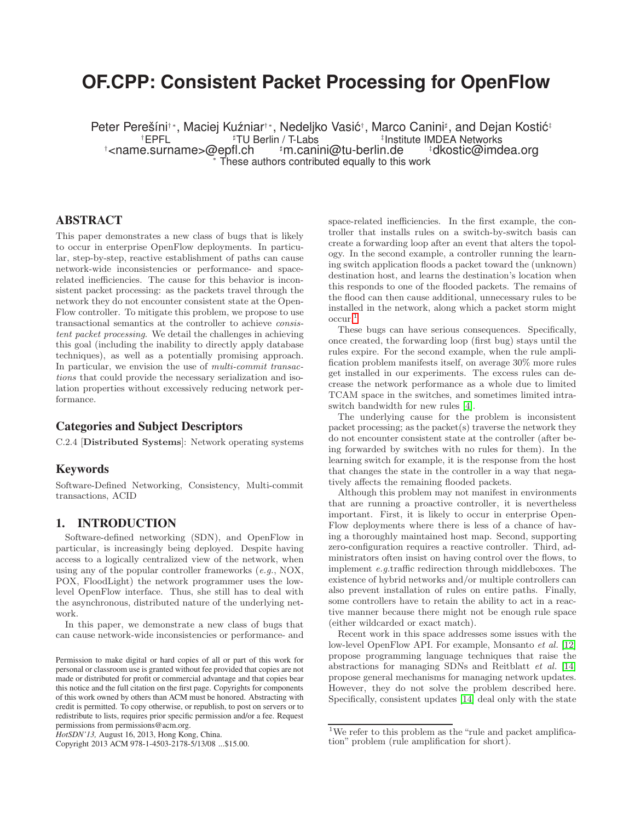# **OF.CPP: Consistent Packet Processing for OpenFlow**

Peter Perešíni†\*, Maciej Kuźniar†\*, Nedeljko Vasić†, Marco Canini‡, and Dejan Kostić‡ †EPFL <sup>♯</sup>TU Berlin / T-Labs ‡ <sup>‡</sup>Institute IMDEA Networks<br>n.de <sup>t</sup>dkostic@imdea.org  $\dagger$ <name.surname>@epfl.ch These authors contributed equally to this work

## **ABSTRACT**

This paper demonstrates a new class of bugs that is likely to occur in enterprise OpenFlow deployments. In particular, step-by-step, reactive establishment of paths can cause network-wide inconsistencies or performance- and spacerelated inefficiencies. The cause for this behavior is inconsistent packet processing: as the packets travel through the network they do not encounter consistent state at the Open-Flow controller. To mitigate this problem, we propose to use transactional semantics at the controller to achieve consistent packet processing. We detail the challenges in achieving this goal (including the inability to directly apply database techniques), as well as a potentially promising approach. In particular, we envision the use of *multi-commit transac*tions that could provide the necessary serialization and isolation properties without excessively reducing network performance.

#### **Categories and Subject Descriptors**

C.2.4 [Distributed Systems]: Network operating systems

## **Keywords**

Software-Defined Networking, Consistency, Multi-commit transactions, ACID

## **1. INTRODUCTION**

Software-defined networking (SDN), and OpenFlow in particular, is increasingly being deployed. Despite having access to a logically centralized view of the network, when using any of the popular controller frameworks (e.g., NOX, POX, FloodLight) the network programmer uses the lowlevel OpenFlow interface. Thus, she still has to deal with the asynchronous, distributed nature of the underlying network.

In this paper, we demonstrate a new class of bugs that can cause network-wide inconsistencies or performance- and

Copyright 2013 ACM 978-1-4503-2178-5/13/08 ...\$15.00.

space-related inefficiencies. In the first example, the controller that installs rules on a switch-by-switch basis can create a forwarding loop after an event that alters the topology. In the second example, a controller running the learning switch application floods a packet toward the (unknown) destination host, and learns the destination's location when this responds to one of the flooded packets. The remains of the flood can then cause additional, unnecessary rules to be installed in the network, along which a packet storm might occur.[1](#page-0-0)

These bugs can have serious consequences. Specifically, once created, the forwarding loop (first bug) stays until the rules expire. For the second example, when the rule amplification problem manifests itself, on average 30% more rules get installed in our experiments. The excess rules can decrease the network performance as a whole due to limited TCAM space in the switches, and sometimes limited intraswitch bandwidth for new rules [\[4\]](#page-5-0).

The underlying cause for the problem is inconsistent packet processing; as the packet(s) traverse the network they do not encounter consistent state at the controller (after being forwarded by switches with no rules for them). In the learning switch for example, it is the response from the host that changes the state in the controller in a way that negatively affects the remaining flooded packets.

Although this problem may not manifest in environments that are running a proactive controller, it is nevertheless important. First, it is likely to occur in enterprise Open-Flow deployments where there is less of a chance of having a thoroughly maintained host map. Second, supporting zero-configuration requires a reactive controller. Third, administrators often insist on having control over the flows, to implement e.g.traffic redirection through middleboxes. The existence of hybrid networks and/or multiple controllers can also prevent installation of rules on entire paths. Finally, some controllers have to retain the ability to act in a reactive manner because there might not be enough rule space (either wildcarded or exact match).

Recent work in this space addresses some issues with the low-level OpenFlow API. For example, Monsanto et al. [\[12\]](#page-5-1) propose programming language techniques that raise the abstractions for managing SDNs and Reitblatt et al. [\[14\]](#page-5-2) propose general mechanisms for managing network updates. However, they do not solve the problem described here. Specifically, consistent updates [\[14\]](#page-5-2) deal only with the state

Permission to make digital or hard copies of all or part of this work for personal or classroom use is granted without fee provided that copies are not made or distributed for profit or commercial advantage and that copies bear this notice and the full citation on the first page. Copyrights for components of this work owned by others than ACM must be honored. Abstracting with credit is permitted. To copy otherwise, or republish, to post on servers or to redistribute to lists, requires prior specific permission and/or a fee. Request permissions from permissions@acm.org.

*HotSDN'13,* August 16, 2013, Hong Kong, China.

<span id="page-0-0"></span><sup>&</sup>lt;sup>1</sup>We refer to this problem as the "rule and packet amplification" problem (rule amplification for short).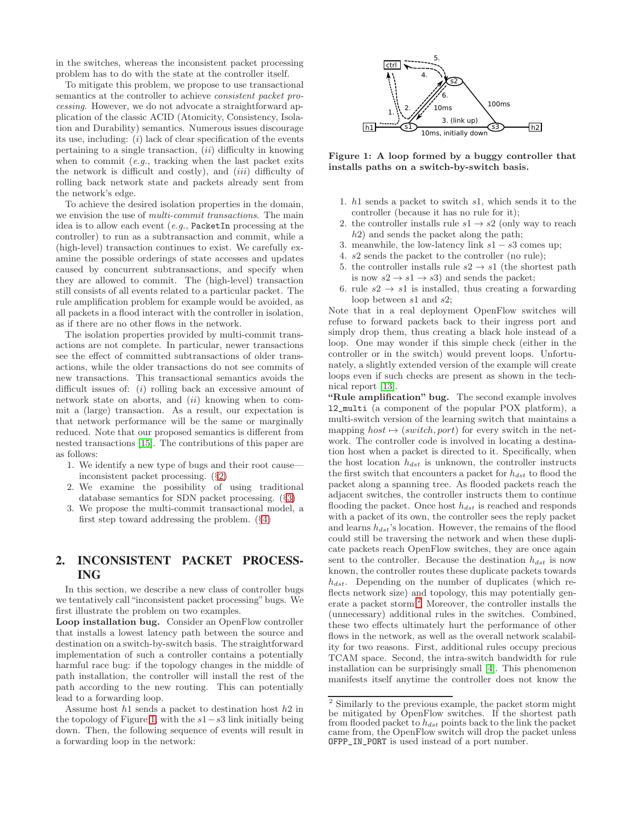in the switches, whereas the inconsistent packet processing problem has to do with the state at the controller itself.

To mitigate this problem, we propose to use transactional semantics at the controller to achieve consistent packet processing. However, we do not advocate a straightforward application of the classic ACID (Atomicity, Consistency, Isolation and Durability) semantics. Numerous issues discourage its use, including:  $(i)$  lack of clear specification of the events pertaining to a single transaction,  $(ii)$  difficulty in knowing when to commit  $(e.g.,$  tracking when the last packet exits the network is difficult and costly), and (iii) difficulty of rolling back network state and packets already sent from the network's edge.

To achieve the desired isolation properties in the domain, we envision the use of multi-commit transactions. The main idea is to allow each event  $(e.g., \text{PacketIn processing at the})$ controller) to run as a subtransaction and commit, while a (high-level) transaction continues to exist. We carefully examine the possible orderings of state accesses and updates caused by concurrent subtransactions, and specify when they are allowed to commit. The (high-level) transaction still consists of all events related to a particular packet. The rule amplification problem for example would be avoided, as all packets in a flood interact with the controller in isolation, as if there are no other flows in the network.

The isolation properties provided by multi-commit transactions are not complete. In particular, newer transactions see the effect of committed subtransactions of older transactions, while the older transactions do not see commits of new transactions. This transactional semantics avoids the difficult issues of: (i) rolling back an excessive amount of network state on aborts, and  $(ii)$  knowing when to commit a (large) transaction. As a result, our expectation is that network performance will be the same or marginally reduced. Note that our proposed semantics is different from nested transactions [\[15\]](#page-5-3). The contributions of this paper are as follows:

- 1. We identify a new type of bugs and their root cause inconsistent packet processing. (§[2\)](#page-1-0)
- 2. We examine the possibility of using traditional database semantics for SDN packet processing. (§[3\)](#page-2-0)
- 3. We propose the multi-commit transactional model, a first step toward addressing the problem. (§[4\)](#page-2-1)

## <span id="page-1-0"></span>**2. INCONSISTENT PACKET PROCESS-ING**

In this section, we describe a new class of controller bugs we tentatively call "inconsistent packet processing" bugs. We first illustrate the problem on two examples.

Loop installation bug. Consider an OpenFlow controller that installs a lowest latency path between the source and destination on a switch-by-switch basis. The straightforward implementation of such a controller contains a potentially harmful race bug: if the topology changes in the middle of path installation, the controller will install the rest of the path according to the new routing. This can potentially lead to a forwarding loop.

Assume host  $h1$  sends a packet to destination host  $h2$  in the topology of Figure [1,](#page-1-1) with the  $s1-s3$  link initially being down. Then, the following sequence of events will result in a forwarding loop in the network:



<span id="page-1-1"></span>Figure 1: A loop formed by a buggy controller that installs paths on a switch-by-switch basis.

- 1. h1 sends a packet to switch s1, which sends it to the controller (because it has no rule for it);
- 2. the controller installs rule  $s1 \rightarrow s2$  (only way to reach h2) and sends the packet along the path;
- 3. meanwhile, the low-latency link  $s1 s3$  comes up;
- 4. s2 sends the packet to the controller (no rule);
- 5. the controller installs rule  $s_2 \rightarrow s_1$  (the shortest path is now  $s2 \rightarrow s1 \rightarrow s3$ ) and sends the packet;
- 6. rule  $s_2 \rightarrow s_1$  is installed, thus creating a forwarding loop between s1 and s2;

Note that in a real deployment OpenFlow switches will refuse to forward packets back to their ingress port and simply drop them, thus creating a black hole instead of a loop. One may wonder if this simple check (either in the controller or in the switch) would prevent loops. Unfortunately, a slightly extended version of the example will create loops even if such checks are present as shown in the technical report [\[13\]](#page-5-4).

"Rule amplification" bug. The second example involves l2\_multi (a component of the popular POX platform), a multi-switch version of the learning switch that maintains a mapping  $host \mapsto (switch, port)$  for every switch in the network. The controller code is involved in locating a destination host when a packet is directed to it. Specifically, when the host location  $h_{dst}$  is unknown, the controller instructs the first switch that encounters a packet for  $h_{dst}$  to flood the packet along a spanning tree. As flooded packets reach the adjacent switches, the controller instructs them to continue flooding the packet. Once host  $h_{dst}$  is reached and responds with a packet of its own, the controller sees the reply packet and learns  $h_{dst}$ 's location. However, the remains of the flood could still be traversing the network and when these duplicate packets reach OpenFlow switches, they are once again sent to the controller. Because the destination  $h_{dst}$  is now known, the controller routes these duplicate packets towards  $h_{dst}$ . Depending on the number of duplicates (which reflects network size) and topology, this may potentially gen-erate a packet storm.<sup>[2](#page-1-2)</sup> Moreover, the controller installs the (unnecessary) additional rules in the switches. Combined, these two effects ultimately hurt the performance of other flows in the network, as well as the overall network scalability for two reasons. First, additional rules occupy precious TCAM space. Second, the intra-switch bandwidth for rule installation can be surprisingly small [\[4\]](#page-5-0). This phenomenon manifests itself anytime the controller does not know the

<span id="page-1-2"></span><sup>2</sup> Similarly to the previous example, the packet storm might be mitigated by OpenFlow switches. If the shortest path from flooded packet to  $h_{dst}$  points back to the link the packet came from, the OpenFlow switch will drop the packet unless OFPP\_IN\_PORT is used instead of a port number.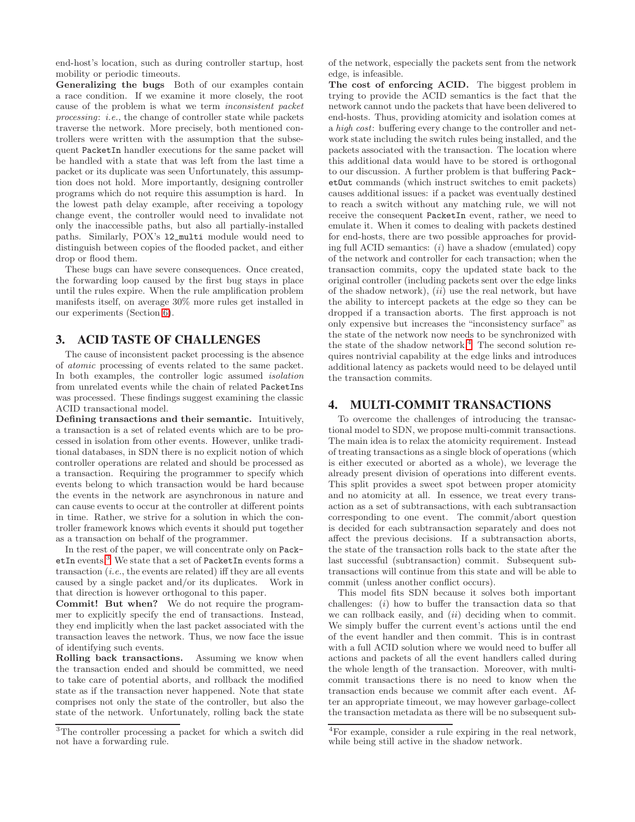end-host's location, such as during controller startup, host mobility or periodic timeouts.

Generalizing the bugs Both of our examples contain a race condition. If we examine it more closely, the root cause of the problem is what we term inconsistent packet processing: i.e., the change of controller state while packets traverse the network. More precisely, both mentioned controllers were written with the assumption that the subsequent PacketIn handler executions for the same packet will be handled with a state that was left from the last time a packet or its duplicate was seen Unfortunately, this assumption does not hold. More importantly, designing controller programs which do not require this assumption is hard. In the lowest path delay example, after receiving a topology change event, the controller would need to invalidate not only the inaccessible paths, but also all partially-installed paths. Similarly, POX's l2\_multi module would need to distinguish between copies of the flooded packet, and either drop or flood them.

These bugs can have severe consequences. Once created, the forwarding loop caused by the first bug stays in place until the rules expire. When the rule amplification problem manifests itself, on average 30% more rules get installed in our experiments (Section [6\)](#page-4-0).

## <span id="page-2-0"></span>**3. ACID TASTE OF CHALLENGES**

The cause of inconsistent packet processing is the absence of atomic processing of events related to the same packet. In both examples, the controller logic assumed isolation from unrelated events while the chain of related PacketIns was processed. These findings suggest examining the classic ACID transactional model.

Defining transactions and their semantic. Intuitively, a transaction is a set of related events which are to be processed in isolation from other events. However, unlike traditional databases, in SDN there is no explicit notion of which controller operations are related and should be processed as a transaction. Requiring the programmer to specify which events belong to which transaction would be hard because the events in the network are asynchronous in nature and can cause events to occur at the controller at different points in time. Rather, we strive for a solution in which the controller framework knows which events it should put together as a transaction on behalf of the programmer.

In the rest of the paper, we will concentrate only on Pack-etIn events.<sup>[3](#page-2-2)</sup> We state that a set of PacketIn events forms a transaction  $(i.e.,$  the events are related) iff they are all events caused by a single packet and/or its duplicates. Work in that direction is however orthogonal to this paper.

Commit! But when? We do not require the programmer to explicitly specify the end of transactions. Instead, they end implicitly when the last packet associated with the transaction leaves the network. Thus, we now face the issue of identifying such events.

Rolling back transactions. Assuming we know when the transaction ended and should be committed, we need to take care of potential aborts, and rollback the modified state as if the transaction never happened. Note that state comprises not only the state of the controller, but also the state of the network. Unfortunately, rolling back the state of the network, especially the packets sent from the network edge, is infeasible.

The cost of enforcing ACID. The biggest problem in trying to provide the ACID semantics is the fact that the network cannot undo the packets that have been delivered to end-hosts. Thus, providing atomicity and isolation comes at a high cost: buffering every change to the controller and network state including the switch rules being installed, and the packets associated with the transaction. The location where this additional data would have to be stored is orthogonal to our discussion. A further problem is that buffering PacketOut commands (which instruct switches to emit packets) causes additional issues: if a packet was eventually destined to reach a switch without any matching rule, we will not receive the consequent PacketIn event, rather, we need to emulate it. When it comes to dealing with packets destined for end-hosts, there are two possible approaches for providing full ACID semantics:  $(i)$  have a shadow (emulated) copy of the network and controller for each transaction; when the transaction commits, copy the updated state back to the original controller (including packets sent over the edge links of the shadow network),  $(ii)$  use the real network, but have the ability to intercept packets at the edge so they can be dropped if a transaction aborts. The first approach is not only expensive but increases the "inconsistency surface" as the state of the network now needs to be synchronized with the state of the shadow network. $4$  The second solution requires nontrivial capability at the edge links and introduces additional latency as packets would need to be delayed until the transaction commits.

## <span id="page-2-1"></span>**4. MULTI-COMMIT TRANSACTIONS**

To overcome the challenges of introducing the transactional model to SDN, we propose multi-commit transactions. The main idea is to relax the atomicity requirement. Instead of treating transactions as a single block of operations (which is either executed or aborted as a whole), we leverage the already present division of operations into different events. This split provides a sweet spot between proper atomicity and no atomicity at all. In essence, we treat every transaction as a set of subtransactions, with each subtransaction corresponding to one event. The commit/abort question is decided for each subtransaction separately and does not affect the previous decisions. If a subtransaction aborts, the state of the transaction rolls back to the state after the last successful (subtransaction) commit. Subsequent subtransactions will continue from this state and will be able to commit (unless another conflict occurs).

This model fits SDN because it solves both important challenges: (i) how to buffer the transaction data so that we can rollback easily, and  $(ii)$  deciding when to commit. We simply buffer the current event's actions until the end of the event handler and then commit. This is in contrast with a full ACID solution where we would need to buffer all actions and packets of all the event handlers called during the whole length of the transaction. Moreover, with multicommit transactions there is no need to know when the transaction ends because we commit after each event. After an appropriate timeout, we may however garbage-collect the transaction metadata as there will be no subsequent sub-

<span id="page-2-2"></span><sup>&</sup>lt;sup>3</sup>The controller processing a packet for which a switch did not have a forwarding rule.

<span id="page-2-3"></span><sup>4</sup>For example, consider a rule expiring in the real network, while being still active in the shadow network.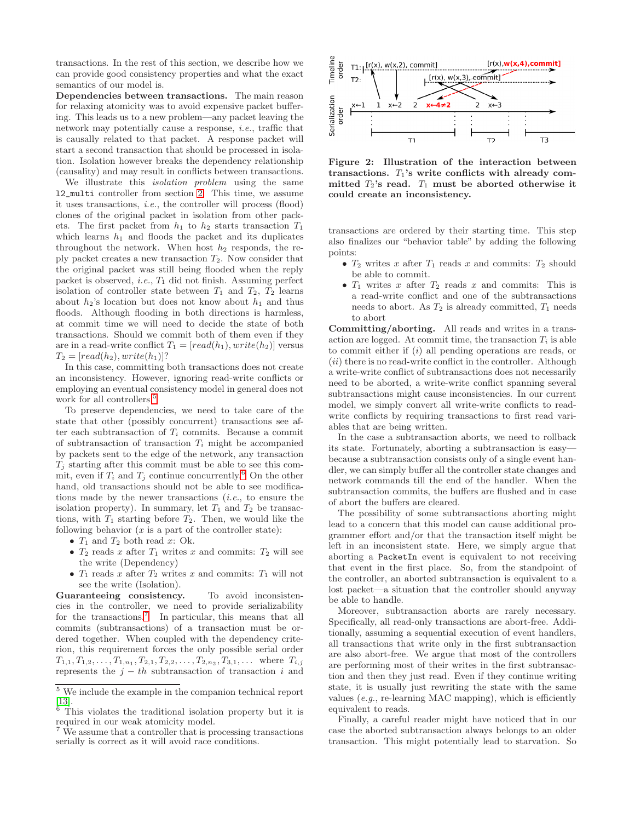transactions. In the rest of this section, we describe how we can provide good consistency properties and what the exact semantics of our model is.

Dependencies between transactions. The main reason for relaxing atomicity was to avoid expensive packet buffering. This leads us to a new problem—any packet leaving the network may potentially cause a response, i.e., traffic that is causally related to that packet. A response packet will start a second transaction that should be processed in isolation. Isolation however breaks the dependency relationship (causality) and may result in conflicts between transactions.

We illustrate this *isolation problem* using the same l2\_multi controller from section [2.](#page-1-1) This time, we assume it uses transactions, i.e., the controller will process (flood) clones of the original packet in isolation from other packets. The first packet from  $h_1$  to  $h_2$  starts transaction  $T_1$ which learns  $h_1$  and floods the packet and its duplicates throughout the network. When host  $h_2$  responds, the reply packet creates a new transaction  $T_2$ . Now consider that the original packet was still being flooded when the reply packet is observed, *i.e.*,  $T_1$  did not finish. Assuming perfect isolation of controller state between  $T_1$  and  $T_2$ ,  $T_2$  learns about  $h_2$ 's location but does not know about  $h_1$  and thus floods. Although flooding in both directions is harmless, at commit time we will need to decide the state of both transactions. Should we commit both of them even if they are in a read-write conflict  $T_1 = [read(h_1), write(h_2)]$  versus  $T_2 = [read(h_2), write(h_1)]$ ?

In this case, committing both transactions does not create an inconsistency. However, ignoring read-write conflicts or employing an eventual consistency model in general does not work for all controllers.<sup>[5](#page-3-0)</sup>

To preserve dependencies, we need to take care of the state that other (possibly concurrent) transactions see after each subtransaction of  $T_i$  commits. Because a commit of subtransaction of transaction  $T_i$  might be accompanied by packets sent to the edge of the network, any transaction  $T_i$  starting after this commit must be able to see this commit, even if  $T_i$  and  $T_j$  continue concurrently.<sup>[6](#page-3-1)</sup> On the other hand, old transactions should not be able to see modifications made by the newer transactions  $(i.e.,$  to ensure the isolation property). In summary, let  $T_1$  and  $T_2$  be transactions, with  $T_1$  starting before  $T_2$ . Then, we would like the following behavior  $(x \text{ is a part of the controller state})$ :

- $T_1$  and  $T_2$  both read  $x$ : Ok.
- $T_2$  reads x after  $T_1$  writes x and commits:  $T_2$  will see the write (Dependency)
- $T_1$  reads x after  $T_2$  writes x and commits:  $T_1$  will not see the write (Isolation).

Guaranteeing consistency. To avoid inconsistencies in the controller, we need to provide serializability for the transactions.<sup>[7](#page-3-2)</sup> In particular, this means that all commits (subtransactions) of a transaction must be ordered together. When coupled with the dependency criterion, this requirement forces the only possible serial order  $T_{1,1}, T_{1,2}, \ldots, T_{1,n_1}, T_{2,1}, T_{2,2}, \ldots, T_{2,n_2}, T_{3,1}, \ldots$  where  $T_{i,j}$ represents the  $j - th$  subtransaction of transaction i and



Figure 2: Illustration of the interaction between transactions.  $T_1$ 's write conflicts with already committed  $T_2$ 's read.  $T_1$  must be aborted otherwise it could create an inconsistency.

transactions are ordered by their starting time. This step also finalizes our "behavior table" by adding the following points:

- $T_2$  writes x after  $T_1$  reads x and commits:  $T_2$  should be able to commit.
- $T_1$  writes x after  $T_2$  reads x and commits: This is a read-write conflict and one of the subtransactions needs to abort. As  $T_2$  is already committed,  $T_1$  needs to abort

Committing/aborting. All reads and writes in a transaction are logged. At commit time, the transaction  $T_i$  is able to commit either if  $(i)$  all pending operations are reads, or  $(ii)$  there is no read-write conflict in the controller. Although a write-write conflict of subtransactions does not necessarily need to be aborted, a write-write conflict spanning several subtransactions might cause inconsistencies. In our current model, we simply convert all write-write conflicts to readwrite conflicts by requiring transactions to first read variables that are being written.

In the case a subtransaction aborts, we need to rollback its state. Fortunately, aborting a subtransaction is easy because a subtransaction consists only of a single event handler, we can simply buffer all the controller state changes and network commands till the end of the handler. When the subtransaction commits, the buffers are flushed and in case of abort the buffers are cleared.

The possibility of some subtransactions aborting might lead to a concern that this model can cause additional programmer effort and/or that the transaction itself might be left in an inconsistent state. Here, we simply argue that aborting a PacketIn event is equivalent to not receiving that event in the first place. So, from the standpoint of the controller, an aborted subtransaction is equivalent to a lost packet—a situation that the controller should anyway be able to handle.

Moreover, subtransaction aborts are rarely necessary. Specifically, all read-only transactions are abort-free. Additionally, assuming a sequential execution of event handlers, all transactions that write only in the first subtransaction are also abort-free. We argue that most of the controllers are performing most of their writes in the first subtransaction and then they just read. Even if they continue writing state, it is usually just rewriting the state with the same values  $(e.g.,$  re-learning MAC mapping), which is efficiently equivalent to reads.

Finally, a careful reader might have noticed that in our case the aborted subtransaction always belongs to an older transaction. This might potentially lead to starvation. So

 $^5$  We include the example in the companion technical report [\[13\]](#page-5-4).

<span id="page-3-0"></span><sup>&</sup>lt;sup>6</sup> This violates the traditional isolation property but it is required in our weak atomicity model.

<span id="page-3-2"></span><span id="page-3-1"></span><sup>&</sup>lt;sup>7</sup> We assume that a controller that is processing transactions serially is correct as it will avoid race conditions.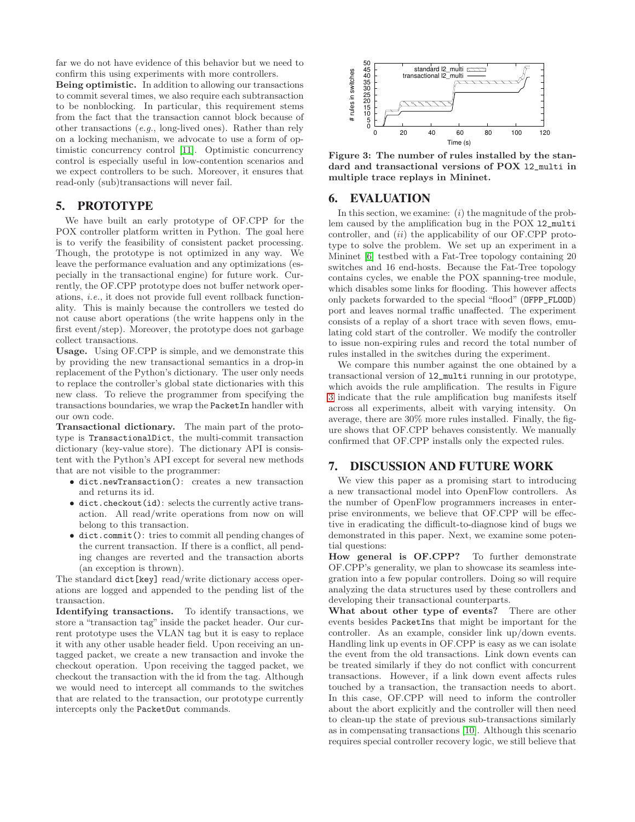far we do not have evidence of this behavior but we need to confirm this using experiments with more controllers.

Being optimistic. In addition to allowing our transactions to commit several times, we also require each subtransaction to be nonblocking. In particular, this requirement stems from the fact that the transaction cannot block because of other transactions (e.g., long-lived ones). Rather than rely on a locking mechanism, we advocate to use a form of optimistic concurrency control [\[11\]](#page-5-5). Optimistic concurrency control is especially useful in low-contention scenarios and we expect controllers to be such. Moreover, it ensures that read-only (sub)transactions will never fail.

## **5. PROTOTYPE**

We have built an early prototype of OF.CPP for the POX controller platform written in Python. The goal here is to verify the feasibility of consistent packet processing. Though, the prototype is not optimized in any way. We leave the performance evaluation and any optimizations (especially in the transactional engine) for future work. Currently, the OF.CPP prototype does not buffer network operations, i.e., it does not provide full event rollback functionality. This is mainly because the controllers we tested do not cause abort operations (the write happens only in the first event/step). Moreover, the prototype does not garbage collect transactions.

Usage. Using OF.CPP is simple, and we demonstrate this by providing the new transactional semantics in a drop-in replacement of the Python's dictionary. The user only needs to replace the controller's global state dictionaries with this new class. To relieve the programmer from specifying the transactions boundaries, we wrap the PacketIn handler with our own code.

Transactional dictionary. The main part of the prototype is TransactionalDict, the multi-commit transaction dictionary (key-value store). The dictionary API is consistent with the Python's API except for several new methods that are not visible to the programmer:

- dict.newTransaction(): creates a new transaction and returns its id.
- dict.checkout(id): selects the currently active transaction. All read/write operations from now on will belong to this transaction.
- dict.commit(): tries to commit all pending changes of the current transaction. If there is a conflict, all pending changes are reverted and the transaction aborts (an exception is thrown).

The standard dict [key] read/write dictionary access operations are logged and appended to the pending list of the transaction.

Identifying transactions. To identify transactions, we store a "transaction tag" inside the packet header. Our current prototype uses the VLAN tag but it is easy to replace it with any other usable header field. Upon receiving an untagged packet, we create a new transaction and invoke the checkout operation. Upon receiving the tagged packet, we checkout the transaction with the id from the tag. Although we would need to intercept all commands to the switches that are related to the transaction, our prototype currently intercepts only the PacketOut commands.



<span id="page-4-1"></span>Figure 3: The number of rules installed by the standard and transactional versions of POX l2\_multi in multiple trace replays in Mininet.

## <span id="page-4-0"></span>**6. EVALUATION**

In this section, we examine:  $(i)$  the magnitude of the problem caused by the amplification bug in the POX l2\_multi controller, and  $(ii)$  the applicability of our OF.CPP prototype to solve the problem. We set up an experiment in a Mininet [\[6\]](#page-5-6) testbed with a Fat-Tree topology containing 20 switches and 16 end-hosts. Because the Fat-Tree topology contains cycles, we enable the POX spanning-tree module, which disables some links for flooding. This however affects only packets forwarded to the special "flood" (OFPP\_FLOOD) port and leaves normal traffic unaffected. The experiment consists of a replay of a short trace with seven flows, emulating cold start of the controller. We modify the controller to issue non-expiring rules and record the total number of rules installed in the switches during the experiment.

We compare this number against the one obtained by a transactional version of l2\_multi running in our prototype, which avoids the rule amplification. The results in Figure [3](#page-4-1) indicate that the rule amplification bug manifests itself across all experiments, albeit with varying intensity. On average, there are 30% more rules installed. Finally, the figure shows that OF.CPP behaves consistently. We manually confirmed that OF.CPP installs only the expected rules.

#### **7. DISCUSSION AND FUTURE WORK**

We view this paper as a promising start to introducing a new transactional model into OpenFlow controllers. As the number of OpenFlow programmers increases in enterprise environments, we believe that OF.CPP will be effective in eradicating the difficult-to-diagnose kind of bugs we demonstrated in this paper. Next, we examine some potential questions:

How general is OF.CPP? To further demonstrate OF.CPP's generality, we plan to showcase its seamless integration into a few popular controllers. Doing so will require analyzing the data structures used by these controllers and developing their transactional counterparts.

What about other type of events? There are other events besides PacketIns that might be important for the controller. As an example, consider link up/down events. Handling link up events in OF.CPP is easy as we can isolate the event from the old transactions. Link down events can be treated similarly if they do not conflict with concurrent transactions. However, if a link down event affects rules touched by a transaction, the transaction needs to abort. In this case, OF.CPP will need to inform the controller about the abort explicitly and the controller will then need to clean-up the state of previous sub-transactions similarly as in compensating transactions [\[10\]](#page-5-7). Although this scenario requires special controller recovery logic, we still believe that